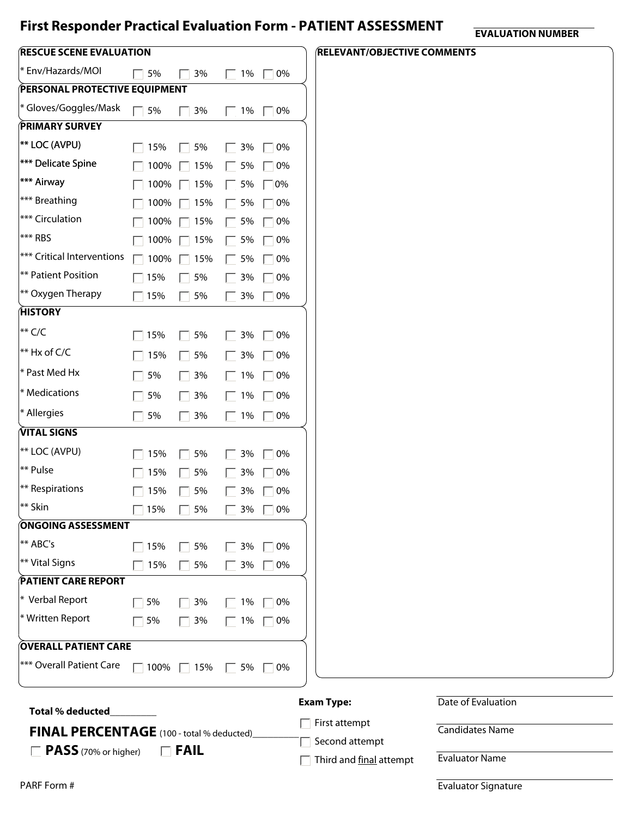## **First Responder Practical Evaluation Form - PATIENT ASSESSMENT**

**EVALUATION NUMBER**

| <b>RESCUE SCENE EVALUATION</b>                                                          |                                |                     |              |           | <b>RELEVANT/OBJECTIVE COMMENTS</b> |                        |
|-----------------------------------------------------------------------------------------|--------------------------------|---------------------|--------------|-----------|------------------------------------|------------------------|
| * Env/Hazards/MOI                                                                       | 5%                             | 3%                  | $\Box$ 1%    | $\Box$ 0% |                                    |                        |
| <b>PERSONAL PROTECTIVE EQUIPMENT</b>                                                    |                                |                     |              |           |                                    |                        |
| * Gloves/Goggles/Mask                                                                   | $\Box$ 5%                      | 3%                  | $\Box$ 1%    | $\Box$ 0% |                                    |                        |
| <b>PRIMARY SURVEY</b>                                                                   |                                |                     |              |           |                                    |                        |
| <sup>**</sup> LOC (AVPU)                                                                | $\Box$ 15%                     | 5%<br>$\mathbf{L}$  | 3%<br>$\Box$ | $\Box$ 0% |                                    |                        |
| *** Delicate Spine                                                                      | 100%                           | 15%<br>$\mathbf{L}$ | $\Box$ 5%    | 0%        |                                    |                        |
| <sup>***</sup> Airway                                                                   | 100%                           | 15%<br>$\mathbf{L}$ | $\Box$ 5%    | $\Box$ 0% |                                    |                        |
| <sup>***</sup> Breathing                                                                | 100%                           | 15%<br>$\mathbf{L}$ | $\Box$ 5%    | $\Box$ 0% |                                    |                        |
| *** Circulation                                                                         | 100%                           | 15%<br>$\mathbf{L}$ | $\Box$ 5%    | $\Box$ 0% |                                    |                        |
| $ ***$ RBS                                                                              | 100%                           | 15%<br>$\mathbf{L}$ | $\Box$ 5%    | $\Box$ 0% |                                    |                        |
| <b>***</b> Critical Interventions                                                       | $\Box$ 100%                    | 15%<br>$\mathbf{L}$ | $\Box$ 5%    | $\Box$ 0% |                                    |                        |
| ** Patient Position                                                                     | $\Box$ 15%                     | 5%<br>$\mathbf{L}$  | $\Box$ 3%    | $\Box$ 0% |                                    |                        |
| $ **$ Oxygen Therapy                                                                    | $\Box$ 15%                     | 5%                  | 3%<br>$\Box$ | $\Box$ 0% |                                    |                        |
| <b>HISTORY</b>                                                                          |                                |                     |              |           |                                    |                        |
| $**$ C/C                                                                                | $\Box$ 15%                     | 5%<br>$\Box$        | $\Box$ 3%    | $\Box$ 0% |                                    |                        |
| $**$ Hx of C/C                                                                          | $\Box$ 15%                     | 5%<br>П.            | $\Box$ 3%    | $\Box$ 0% |                                    |                        |
| * Past Med Hx                                                                           | 5%<br>$\Box$                   | 3%<br>П             | $\Box$ 1%    | $\Box$ 0% |                                    |                        |
| $*$ Medications                                                                         | 5%<br>$\overline{\phantom{a}}$ | 3%<br>П             | $\Box$ 1%    | $\Box$ 0% |                                    |                        |
| * Allergies                                                                             | $\Box$ 5%                      | 3%<br>$\Box$        | $\Box$ 1%    | $\Box$ 0% |                                    |                        |
| VITAL SIGNS                                                                             |                                |                     |              |           |                                    |                        |
| <sup>**</sup> LOC (AVPU)                                                                | 15%                            | 5%<br>$\mathbf{L}$  | $\Box$ 3%    | $\Box$ 0% |                                    |                        |
| $**$ Pulse                                                                              | 15%                            | 5%<br>$\Box$        | $\Box$ 3%    | $\Box$ 0% |                                    |                        |
| $ **$ Respirations                                                                      | $\Box$ 15%                     | 5%<br>$\Box$        | $\Box$ 3%    | $\Box$ 0% |                                    |                        |
| $**$ Skin                                                                               | 15%                            | 5%                  | 3%           | $\Box$ 0% |                                    |                        |
| ONGOING ASSESSMENT                                                                      |                                |                     |              |           |                                    |                        |
| <sup>**</sup> ABC's                                                                     | $\sqrt{15\%}$                  | 5%                  | 3%           | $\Box$ 0% |                                    |                        |
| ** Vital Signs                                                                          | 15%                            | 5%                  | $\Box$ 3%    | $\Box$ 0% |                                    |                        |
| <b>PATIENT CARE REPORT</b>                                                              |                                |                     |              |           |                                    |                        |
| $*$ Verbal Report                                                                       | 5%                             | $\Box$ 3%           | $\Box$ 1%    | $\Box$ 0% |                                    |                        |
| * Written Report                                                                        | $\Box$ 5%                      | $\Box$ 3%           | $\Box$ 1%    | $\Box$ 0% |                                    |                        |
| <b>OVERALL PATIENT CARE</b>                                                             |                                |                     |              |           |                                    |                        |
| *** Overall Patient Care                                                                | $\Box$ 100% $\Box$ 15%         |                     | $\Box$ 5%    | $\Box$ 0% |                                    |                        |
| <b>Total % deducted</b>                                                                 |                                |                     |              |           | <b>Exam Type:</b>                  | Date of Evaluation     |
|                                                                                         |                                |                     |              |           | First attempt                      | <b>Candidates Name</b> |
| <b>FINAL PERCENTAGE</b> (100 - total % deducted)<br>PASS (70% or higher)<br>$\Box$ FAIL |                                |                     |              |           | Second attempt                     |                        |
| $\mathbf{L}$                                                                            |                                |                     |              |           | Third and final attempt            | <b>Evaluator Name</b>  |

Evaluator Signature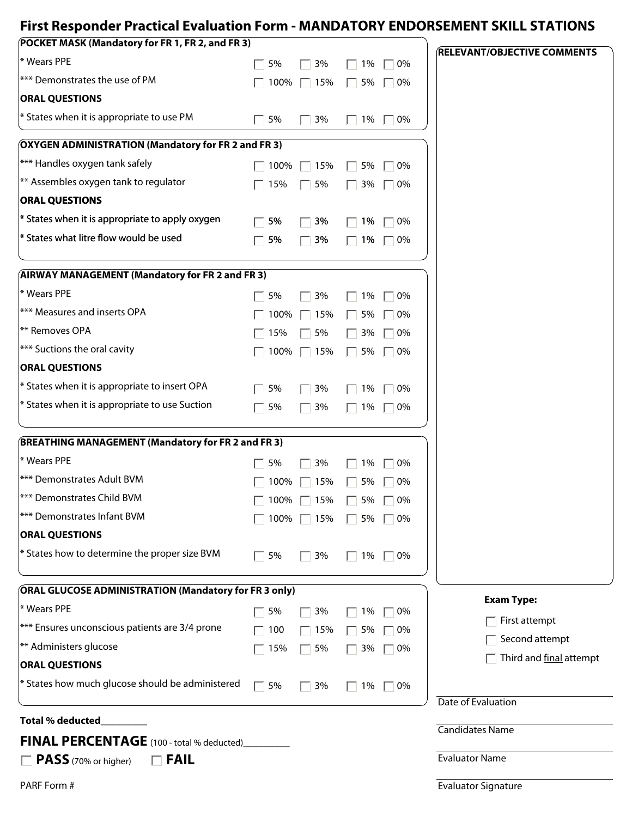## **First Responder Practical Evaluation Form - MANDATORY ENDORSEMENT SKILL STATIONS**

| (POCKET MASK (Mandatory for FR 1, FR 2, and FR 3)            |           |                        |                                 | <b>RELEVANT/OBJECTIVE COMMENTS</b> |
|--------------------------------------------------------------|-----------|------------------------|---------------------------------|------------------------------------|
| * Wears PPE                                                  | 5%        | 3%                     | 1%<br>0%<br>$\Box$              |                                    |
| *** Demonstrates the use of PM                               |           | 100% 7 15%             | 5%<br>$\Box$<br>$\Box$ 0%       |                                    |
| <b>ORAL QUESTIONS</b>                                        |           |                        |                                 |                                    |
| $*$ States when it is appropriate to use PM                  | 5%        | 3%                     | $\Box$ 0%<br>$\Box$ 1%          |                                    |
| <b>OXYGEN ADMINISTRATION (Mandatory for FR 2 and FR 3)</b>   |           |                        |                                 |                                    |
| *** Handles oxygen tank safely                               | 100%      | 15%                    | 0%<br>5%                        |                                    |
| $ **$ Assembles oxygen tank to regulator                     | 15%       | 5%                     | 3%<br>0%                        |                                    |
| <b>ORAL QUESTIONS</b>                                        |           |                        |                                 |                                    |
| $*$ States when it is appropriate to apply oxygen            | 5%        | 3%                     | 1%<br>0%                        |                                    |
| * States what litre flow would be used                       | 5%        | 3%                     | 1%<br>$\Box$ 0%<br>$\mathbf{L}$ |                                    |
| <b>AIRWAY MANAGEMENT (Mandatory for FR 2 and FR 3)</b>       |           |                        |                                 |                                    |
| * Wears PPE                                                  | 5%        | 3%                     | 1%<br>0%                        |                                    |
| <sup>***</sup> Measures and inserts OPA                      | 100%      | 15%                    | 5%<br>0%                        |                                    |
| <sup>**</sup> Removes OPA                                    | 15%       | 5%                     | 3%<br>0%                        |                                    |
| $ ***$ Suctions the oral cavity                              | 100%      | 15%                    | 5%<br>0%<br>$\mathbf{L}$        |                                    |
| <b>ORAL QUESTIONS</b>                                        |           |                        |                                 |                                    |
| $*$ States when it is appropriate to insert OPA              | 5%        | 3%                     | 1%<br>0%                        |                                    |
| $*$ States when it is appropriate to use Suction             | 5%        | 3%                     | 1%<br>0%<br>$\mathbf{L}$        |                                    |
| <b>BREATHING MANAGEMENT (Mandatory for FR 2 and FR 3)</b>    |           |                        |                                 |                                    |
| * Wears PPE                                                  | 5%        | 3%                     | 0%<br>1%                        |                                    |
| *** Demonstrates Adult BVM                                   | 100%      | 15%                    | 5%<br>0%                        |                                    |
| <sup>***</sup> Demonstrates Child BVM                        |           | $\Box$ 100% $\Box$ 15% | 5% □ 0%<br>$\Box$               |                                    |
| <sup>***</sup> Demonstrates Infant BVM                       |           | 100% ■ 15%             | 5%<br>$\Box$<br>$\Box$ 0%       |                                    |
| <b>ORAL QUESTIONS</b>                                        |           |                        |                                 |                                    |
| $*$ States how to determine the proper size BVM              | 5%        | 3%                     | 1%<br>$\Box$ 0%<br>$\mathbf{L}$ |                                    |
| <b>ORAL GLUCOSE ADMINISTRATION (Mandatory for FR 3 only)</b> |           |                        |                                 |                                    |
| * Wears PPE                                                  | 5%        | 3%                     | 1%<br>0%                        | <b>Exam Type:</b>                  |
| *** Ensures unconscious patients are 3/4 prone               | 100       | 15%                    | 5%<br>0%                        | First attempt                      |
| ** Administers glucose                                       | 15%       | 5%                     | 3%<br>0%                        | Second attempt                     |
| <b>ORAL QUESTIONS</b>                                        |           |                        |                                 | Third and final attempt            |
| $*$ States how much glucose should be administered           | $\Box$ 5% | 3%                     | 1%<br>$\Box$ 0%<br>$\mathbf{L}$ |                                    |
| <b>Total % deducted</b>                                      |           |                        |                                 | Date of Evaluation                 |
| <b>FINAL PERCENTAGE</b> (100 - total % deducted)             |           |                        |                                 | <b>Candidates Name</b>             |
| $\Box$ <b>PASS</b> (70% or higher)<br>$\Box$ FAIL            |           |                        |                                 | <b>Evaluator Name</b>              |
| PARF Form #                                                  |           |                        |                                 | <b>Evaluator Signature</b>         |